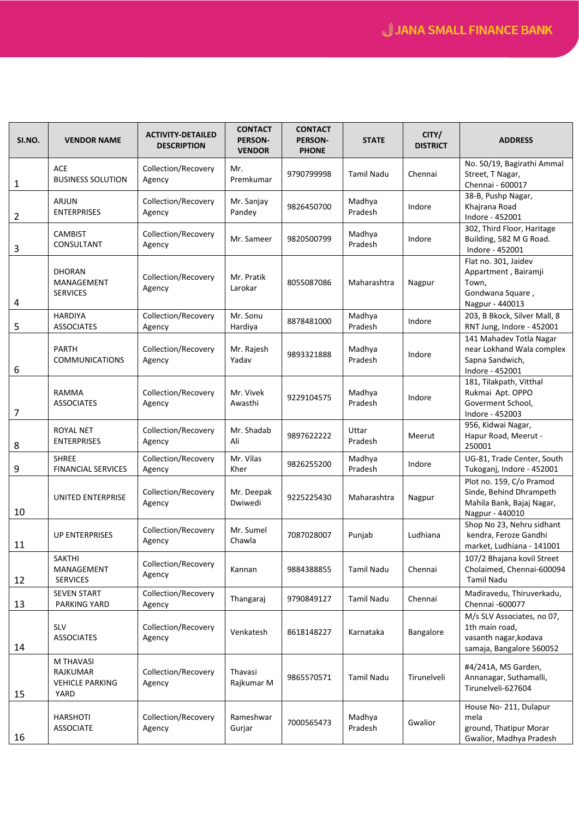| SI.NO.         | <b>VENDOR NAME</b>                                      | <b>ACTIVITY-DETAILED</b><br><b>DESCRIPTION</b> | <b>CONTACT</b><br><b>PERSON-</b><br><b>VENDOR</b> | <b>CONTACT</b><br><b>PERSON-</b><br><b>PHONE</b> | <b>STATE</b>      | CITY/<br><b>DISTRICT</b> | <b>ADDRESS</b>                                                                                      |
|----------------|---------------------------------------------------------|------------------------------------------------|---------------------------------------------------|--------------------------------------------------|-------------------|--------------------------|-----------------------------------------------------------------------------------------------------|
| 1              | <b>ACE</b><br><b>BUSINESS SOLUTION</b>                  | Collection/Recovery<br>Agency                  | Mr.<br>Premkumar                                  | 9790799998                                       | Tamil Nadu        | Chennai                  | No. 50/19, Bagirathi Ammal<br>Street, T Nagar,<br>Chennai - 600017                                  |
| $\overline{2}$ | <b>ARJUN</b><br><b>ENTERPRISES</b>                      | Collection/Recovery<br>Agency                  | Mr. Sanjay<br>Pandey                              | 9826450700                                       | Madhya<br>Pradesh | Indore                   | 38-B, Pushp Nagar,<br>Khajrana Road<br>Indore - 452001                                              |
| 3              | <b>CAMBIST</b><br>CONSULTANT                            | Collection/Recovery<br>Agency                  | Mr. Sameer                                        | 9820500799                                       | Madhya<br>Pradesh | Indore                   | 302, Third Floor, Haritage<br>Building, 582 M G Road.<br>Indore - 452001                            |
| 4              | <b>DHORAN</b><br>MANAGEMENT<br><b>SERVICES</b>          | Collection/Recovery<br>Agency                  | Mr. Pratik<br>Larokar                             | 8055087086                                       | Maharashtra       | Nagpur                   | Flat no. 301, Jaidev<br>Appartment, Bairamji<br>Town,<br>Gondwana Square,<br>Nagpur - 440013        |
| 5              | <b>HARDIYA</b><br><b>ASSOCIATES</b>                     | Collection/Recovery<br>Agency                  | Mr. Sonu<br>Hardiya                               | 8878481000                                       | Madhya<br>Pradesh | Indore                   | 203, B Bkock, Silver Mall, 8<br>RNT Jung, Indore - 452001                                           |
| 6              | <b>PARTH</b><br><b>COMMUNICATIONS</b>                   | Collection/Recovery<br>Agency                  | Mr. Rajesh<br>Yadav                               | 9893321888                                       | Madhya<br>Pradesh | Indore                   | 141 Mahadev Totla Nagar<br>near Lokhand Wala complex<br>Sapna Sandwich,<br>Indore - 452001          |
| $\overline{7}$ | RAMMA<br><b>ASSOCIATES</b>                              | Collection/Recovery<br>Agency                  | Mr. Vivek<br>Awasthi                              | 9229104575                                       | Madhya<br>Pradesh | Indore                   | 181, Tilakpath, Vitthal<br>Rukmai Apt. OPPO<br>Goverment School,<br>Indore - 452003                 |
| 8              | <b>ROYAL NET</b><br><b>ENTERPRISES</b>                  | Collection/Recovery<br>Agency                  | Mr. Shadab<br>Ali                                 | 9897622222                                       | Uttar<br>Pradesh  | Meerut                   | 956, Kidwai Nagar,<br>Hapur Road, Meerut -<br>250001                                                |
| 9              | <b>SHREE</b><br><b>FINANCIAL SERVICES</b>               | Collection/Recovery<br>Agency                  | Mr. Vilas<br>Kher                                 | 9826255200                                       | Madhya<br>Pradesh | Indore                   | UG-81, Trade Center, South<br>Tukoganj, Indore - 452001                                             |
| 10             | <b>UNITED ENTERPRISE</b>                                | Collection/Recovery<br>Agency                  | Mr. Deepak<br>Dwiwedi                             | 9225225430                                       | Maharashtra       | Nagpur                   | Plot no. 159, C/o Pramod<br>Sinde, Behind Dhrampeth<br>Mahila Bank, Bajaj Nagar,<br>Nagpur - 440010 |
| 11             | <b>UP ENTERPRISES</b>                                   | Collection/Recovery<br>Agency                  | Mr. Sumel<br>Chawla                               | 7087028007                                       | Punjab            | Ludhiana                 | Shop No 23, Nehru sidhant<br>kendra, Feroze Gandhi<br>market, Ludhiana - 141001                     |
| 12             | SAKTHI<br>MANAGEMENT<br><b>SERVICES</b>                 | Collection/Recovery<br>Agency                  | Kannan                                            | 9884388855                                       | Tamil Nadu        | Chennai                  | 107/2 Bhajana kovil Street<br>Cholaimed, Chennai-600094<br><b>Tamil Nadu</b>                        |
| 13             | <b>SEVEN START</b><br><b>PARKING YARD</b>               | Collection/Recovery<br>Agency                  | Thangaraj                                         | 9790849127                                       | <b>Tamil Nadu</b> | Chennai                  | Madiravedu, Thiruverkadu,<br>Chennai -600077                                                        |
| 14             | SLV<br><b>ASSOCIATES</b>                                | Collection/Recovery<br>Agency                  | Venkatesh                                         | 8618148227                                       | Karnataka         | Bangalore                | M/s SLV Associates, no 07,<br>1th main road,<br>vasanth nagar, kodava<br>samaja, Bangalore 560052   |
| 15             | M THAVASI<br>RAJKUMAR<br><b>VEHICLE PARKING</b><br>YARD | Collection/Recovery<br>Agency                  | Thavasi<br>Rajkumar M                             | 9865570571                                       | <b>Tamil Nadu</b> | Tirunelveli              | #4/241A, MS Garden,<br>Annanagar, Suthamalli,<br>Tirunelveli-627604                                 |
| 16             | HARSHOTI<br><b>ASSOCIATE</b>                            | Collection/Recovery<br>Agency                  | Rameshwar<br>Gurjar                               | 7000565473                                       | Madhya<br>Pradesh | Gwalior                  | House No-211, Dulapur<br>mela<br>ground, Thatipur Morar<br>Gwalior, Madhya Pradesh                  |